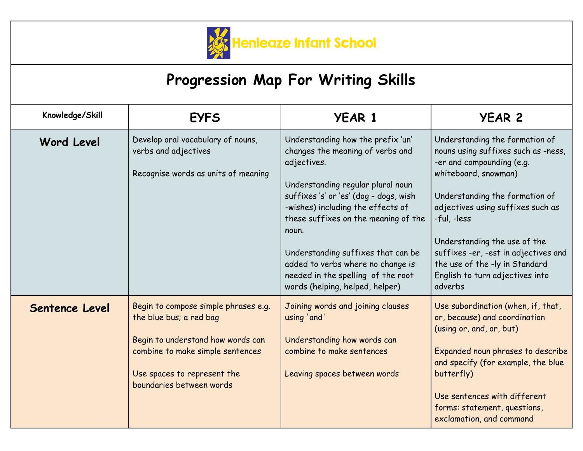

## **Progression Map For Writing Skills**

| Knowledge/Skill   | <b>EYFS</b>                                                                                                                                                                                         | <b>YEAR 1</b>                                                                                                                                                                                                                                                                                                                                                                                                 | <b>YEAR 2</b>                                                                                                                                                                                                                                                                                                                                                            |
|-------------------|-----------------------------------------------------------------------------------------------------------------------------------------------------------------------------------------------------|---------------------------------------------------------------------------------------------------------------------------------------------------------------------------------------------------------------------------------------------------------------------------------------------------------------------------------------------------------------------------------------------------------------|--------------------------------------------------------------------------------------------------------------------------------------------------------------------------------------------------------------------------------------------------------------------------------------------------------------------------------------------------------------------------|
| <b>Word Level</b> | Develop oral vocabulary of nouns,<br>verbs and adjectives<br>Recognise words as units of meaning                                                                                                    | Understanding how the prefix 'un'<br>changes the meaning of verbs and<br>adjectives.<br>Understanding regular plural noun<br>suffixes 's' or 'es' (dog - dogs, wish<br>-wishes) including the effects of<br>these suffixes on the meaning of the<br>noun.<br>Understanding suffixes that can be<br>added to verbs where no change is<br>needed in the spelling of the root<br>words (helping, helped, helper) | Understanding the formation of<br>nouns using suffixes such as -ness,<br>-er and compounding (e.g.<br>whiteboard, snowman)<br>Understanding the formation of<br>adjectives using suffixes such as<br>-ful, -less<br>Understanding the use of the<br>suffixes -er, -est in adjectives and<br>the use of the -ly in Standard<br>English to turn adjectives into<br>adverbs |
| Sentence Level    | Begin to compose simple phrases e.g.<br>the blue bus; a red bag<br>Begin to understand how words can<br>combine to make simple sentences<br>Use spaces to represent the<br>boundaries between words | Joining words and joining clauses<br>using 'and'<br>Understanding how words can<br>combine to make sentences<br>Leaving spaces between words                                                                                                                                                                                                                                                                  | Use subordination (when, if, that,<br>or, because) and coordination<br>(using or, and, or, but)<br>Expanded noun phrases to describe<br>and specify (for example, the blue<br>butterfly)<br>Use sentences with different<br>forms: statement, questions,<br>exclamation, and command                                                                                     |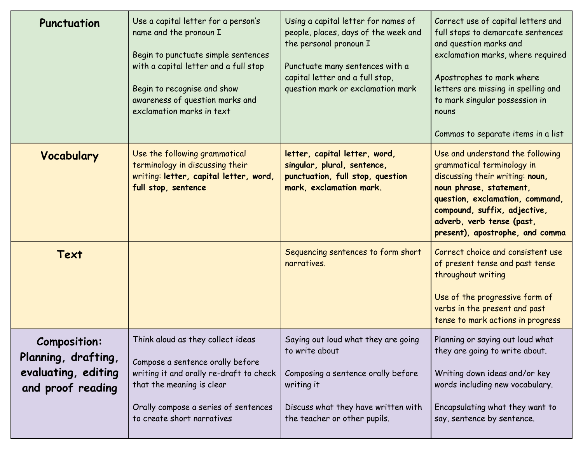| Punctuation                                                                            | Use a capital letter for a person's<br>name and the pronoun I<br>Begin to punctuate simple sentences<br>with a capital letter and a full stop<br>Begin to recognise and show<br>awareness of question marks and<br>exclamation marks in text | Using a capital letter for names of<br>people, places, days of the week and<br>the personal pronoun I<br>Punctuate many sentences with a<br>capital letter and a full stop,<br>question mark or exclamation mark | Correct use of capital letters and<br>full stops to demarcate sentences<br>and question marks and<br>exclamation marks, where required<br>Apostrophes to mark where<br>letters are missing in spelling and<br>to mark singular possession in<br>nouns<br>Commas to separate items in a list |
|----------------------------------------------------------------------------------------|----------------------------------------------------------------------------------------------------------------------------------------------------------------------------------------------------------------------------------------------|------------------------------------------------------------------------------------------------------------------------------------------------------------------------------------------------------------------|---------------------------------------------------------------------------------------------------------------------------------------------------------------------------------------------------------------------------------------------------------------------------------------------|
| Vocabulary                                                                             | Use the following grammatical<br>terminology in discussing their<br>writing: letter, capital letter, word,<br>full stop, sentence                                                                                                            | letter, capital letter, word,<br>singular, plural, sentence,<br>punctuation, full stop, question<br>mark, exclamation mark.                                                                                      | Use and understand the following<br>grammatical terminology in<br>discussing their writing: noun,<br>noun phrase, statement,<br>question, exclamation, command,<br>compound, suffix, adjective,<br>adverb, verb tense (past,<br>present), apostrophe, and comma                             |
| Text                                                                                   |                                                                                                                                                                                                                                              | Sequencing sentences to form short<br>narratives.                                                                                                                                                                | Correct choice and consistent use<br>of present tense and past tense<br>throughout writing<br>Use of the progressive form of<br>verbs in the present and past<br>tense to mark actions in progress                                                                                          |
| <b>Composition:</b><br>Planning, drafting,<br>evaluating, editing<br>and proof reading | Think aloud as they collect ideas<br>Compose a sentence orally before<br>writing it and orally re-draft to check<br>that the meaning is clear<br>Orally compose a series of sentences<br>to create short narratives                          | Saying out loud what they are going<br>to write about<br>Composing a sentence orally before<br>writing it<br>Discuss what they have written with<br>the teacher or other pupils.                                 | Planning or saying out loud what<br>they are going to write about.<br>Writing down ideas and/or key<br>words including new vocabulary.<br>Encapsulating what they want to<br>say, sentence by sentence.                                                                                     |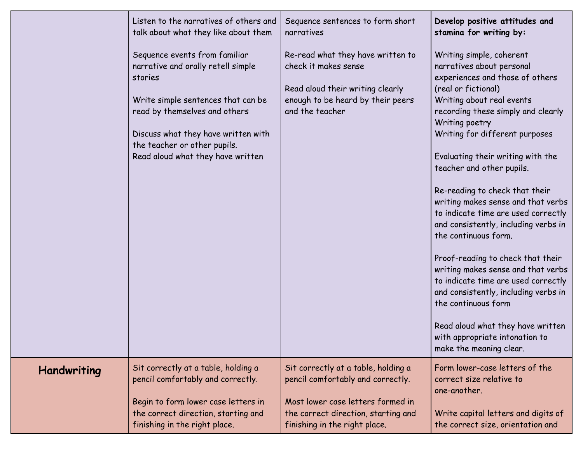|                    | Listen to the narratives of others and<br>talk about what they like about them<br>Sequence events from familiar<br>narrative and orally retell simple<br>stories<br>Write simple sentences that can be<br>read by themselves and others<br>Discuss what they have written with<br>the teacher or other pupils.<br>Read aloud what they have written | Sequence sentences to form short<br>narratives<br>Re-read what they have written to<br>check it makes sense<br>Read aloud their writing clearly<br>enough to be heard by their peers<br>and the teacher | Develop positive attitudes and<br>stamina for writing by:<br>Writing simple, coherent<br>narratives about personal<br>experiences and those of others<br>(real or fictional)<br>Writing about real events<br>recording these simply and clearly<br>Writing poetry<br>Writing for different purposes<br>Evaluating their writing with the<br>teacher and other pupils.<br>Re-reading to check that their<br>writing makes sense and that verbs<br>to indicate time are used correctly<br>and consistently, including verbs in<br>the continuous form.<br>Proof-reading to check that their<br>writing makes sense and that verbs<br>to indicate time are used correctly<br>and consistently, including verbs in<br>the continuous form |
|--------------------|-----------------------------------------------------------------------------------------------------------------------------------------------------------------------------------------------------------------------------------------------------------------------------------------------------------------------------------------------------|---------------------------------------------------------------------------------------------------------------------------------------------------------------------------------------------------------|---------------------------------------------------------------------------------------------------------------------------------------------------------------------------------------------------------------------------------------------------------------------------------------------------------------------------------------------------------------------------------------------------------------------------------------------------------------------------------------------------------------------------------------------------------------------------------------------------------------------------------------------------------------------------------------------------------------------------------------|
|                    |                                                                                                                                                                                                                                                                                                                                                     |                                                                                                                                                                                                         | Read aloud what they have written<br>with appropriate intonation to<br>make the meaning clear.                                                                                                                                                                                                                                                                                                                                                                                                                                                                                                                                                                                                                                        |
| <b>Handwriting</b> | Sit correctly at a table, holding a<br>pencil comfortably and correctly.<br>Begin to form lower case letters in                                                                                                                                                                                                                                     | Sit correctly at a table, holding a<br>pencil comfortably and correctly.<br>Most lower case letters formed in                                                                                           | Form lower-case letters of the<br>correct size relative to<br>one-another.                                                                                                                                                                                                                                                                                                                                                                                                                                                                                                                                                                                                                                                            |
|                    | the correct direction, starting and<br>finishing in the right place.                                                                                                                                                                                                                                                                                | the correct direction, starting and<br>finishing in the right place.                                                                                                                                    | Write capital letters and digits of<br>the correct size, orientation and                                                                                                                                                                                                                                                                                                                                                                                                                                                                                                                                                                                                                                                              |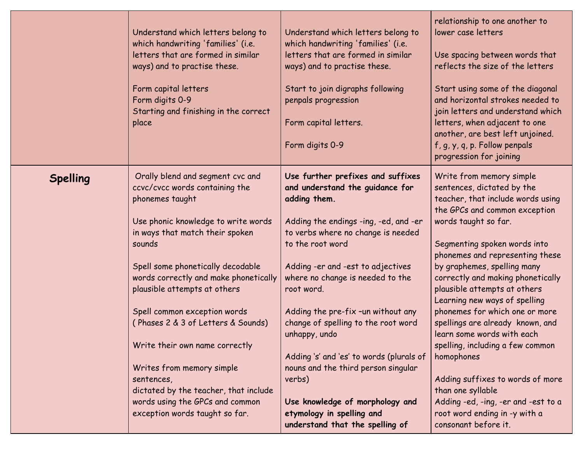|                 | Understand which letters belong to<br>which handwriting 'families' (i.e.<br>letters that are formed in similar<br>ways) and to practise these.<br>Form capital letters<br>Form digits 0-9<br>Starting and finishing in the correct<br>place                                                                                                                                                                                                                                                                                                              | Understand which letters belong to<br>which handwriting 'families' (i.e.<br>letters that are formed in similar<br>ways) and to practise these.<br>Start to join digraphs following<br>penpals progression<br>Form capital letters.<br>Form digits 0-9                                                                                                                                                                                                                                                                                                                        | relationship to one another to<br>lower case letters<br>Use spacing between words that<br>reflects the size of the letters<br>Start using some of the diagonal<br>and horizontal strokes needed to<br>join letters and understand which<br>letters, when adjacent to one<br>another, are best left unjoined.<br>f, g, y, q, p. Follow penpals<br>progression for joining                                                                                                                                                                                                                                                                                                    |
|-----------------|----------------------------------------------------------------------------------------------------------------------------------------------------------------------------------------------------------------------------------------------------------------------------------------------------------------------------------------------------------------------------------------------------------------------------------------------------------------------------------------------------------------------------------------------------------|------------------------------------------------------------------------------------------------------------------------------------------------------------------------------------------------------------------------------------------------------------------------------------------------------------------------------------------------------------------------------------------------------------------------------------------------------------------------------------------------------------------------------------------------------------------------------|-----------------------------------------------------------------------------------------------------------------------------------------------------------------------------------------------------------------------------------------------------------------------------------------------------------------------------------------------------------------------------------------------------------------------------------------------------------------------------------------------------------------------------------------------------------------------------------------------------------------------------------------------------------------------------|
| <b>Spelling</b> | Orally blend and segment cvc and<br>ccvc/cvcc words containing the<br>phonemes taught<br>Use phonic knowledge to write words<br>in ways that match their spoken<br>sounds<br>Spell some phonetically decodable<br>words correctly and make phonetically<br>plausible attempts at others<br>Spell common exception words<br>(Phases 2 & 3 of Letters & Sounds)<br>Write their own name correctly<br>Writes from memory simple<br>sentences,<br>dictated by the teacher, that include<br>words using the GPCs and common<br>exception words taught so far. | Use further prefixes and suffixes<br>and understand the guidance for<br>adding them.<br>Adding the endings -ing, -ed, and -er<br>to verbs where no change is needed<br>to the root word<br>Adding -er and -est to adjectives<br>where no change is needed to the<br>root word.<br>Adding the pre-fix -un without any<br>change of spelling to the root word<br>unhappy, undo<br>Adding 's' and 'es' to words (plurals of<br>nouns and the third person singular<br>verbs)<br>Use knowledge of morphology and<br>etymology in spelling and<br>understand that the spelling of | Write from memory simple<br>sentences, dictated by the<br>teacher, that include words using<br>the GPCs and common exception<br>words taught so far.<br>Segmenting spoken words into<br>phonemes and representing these<br>by graphemes, spelling many<br>correctly and making phonetically<br>plausible attempts at others<br>Learning new ways of spelling<br>phonemes for which one or more<br>spellings are already known, and<br>learn some words with each<br>spelling, including a few common<br>homophones<br>Adding suffixes to words of more<br>than one syllable<br>Adding -ed, -ing, -er and -est to a<br>root word ending in -y with a<br>consonant before it. |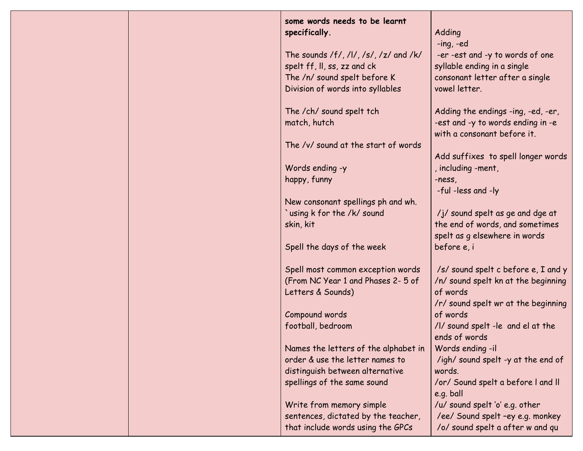| some words needs to be learnt<br>specifically.                           | Adding                                                             |
|--------------------------------------------------------------------------|--------------------------------------------------------------------|
|                                                                          | $-$ ing, $-$ ed                                                    |
| The sounds /f/, /l/, /s/, /z/ and /k/                                    | -er -est and -y to words of one                                    |
| spelt ff, II, ss, zz and ck                                              | syllable ending in a single                                        |
| The /n/ sound spelt before K                                             | consonant letter after a single                                    |
| Division of words into syllables                                         | vowel letter.                                                      |
|                                                                          |                                                                    |
| The /ch/ sound spelt tch                                                 | Adding the endings -ing, -ed, -er,                                 |
| match, hutch                                                             | -est and -y to words ending in -e                                  |
|                                                                          | with a consonant before it.                                        |
| The /v/ sound at the start of words                                      |                                                                    |
| Words ending -y                                                          | Add suffixes to spell longer words<br>, including -ment,           |
| happy, funny                                                             | -ness,                                                             |
|                                                                          | -ful -less and -ly                                                 |
| New consonant spellings ph and wh.                                       |                                                                    |
| 'using k for the /k/ sound                                               | /j/ sound spelt as ge and dge at                                   |
| skin, kit                                                                | the end of words, and sometimes                                    |
|                                                                          | spelt as g elsewhere in words                                      |
| Spell the days of the week                                               | before e, i                                                        |
|                                                                          |                                                                    |
| Spell most common exception words<br>(From NC Year 1 and Phases 2-5 of   | /s/ sound spelt c before e, I and y                                |
| Letters & Sounds)                                                        | /n/ sound spelt kn at the beginning<br>of words                    |
|                                                                          | /r/ sound spelt wr at the beginning                                |
| Compound words                                                           | of words                                                           |
| football, bedroom                                                        | /I/ sound spelt -le and el at the                                  |
|                                                                          | ends of words                                                      |
| Names the letters of the alphabet in                                     | Words ending -il                                                   |
| order & use the letter names to                                          | /igh/ sound spelt -y at the end of                                 |
| distinguish between alternative                                          | words.                                                             |
| spellings of the same sound                                              | /or/ Sound spelt a before I and II                                 |
|                                                                          | e.g. ball                                                          |
| Write from memory simple                                                 | /u/ sound spelt 'o' e.g. other<br>/ee/ Sound spelt -ey e.g. monkey |
| sentences, dictated by the teacher,<br>that include words using the GPCs | /o/ sound spelt a after w and qu                                   |
|                                                                          |                                                                    |